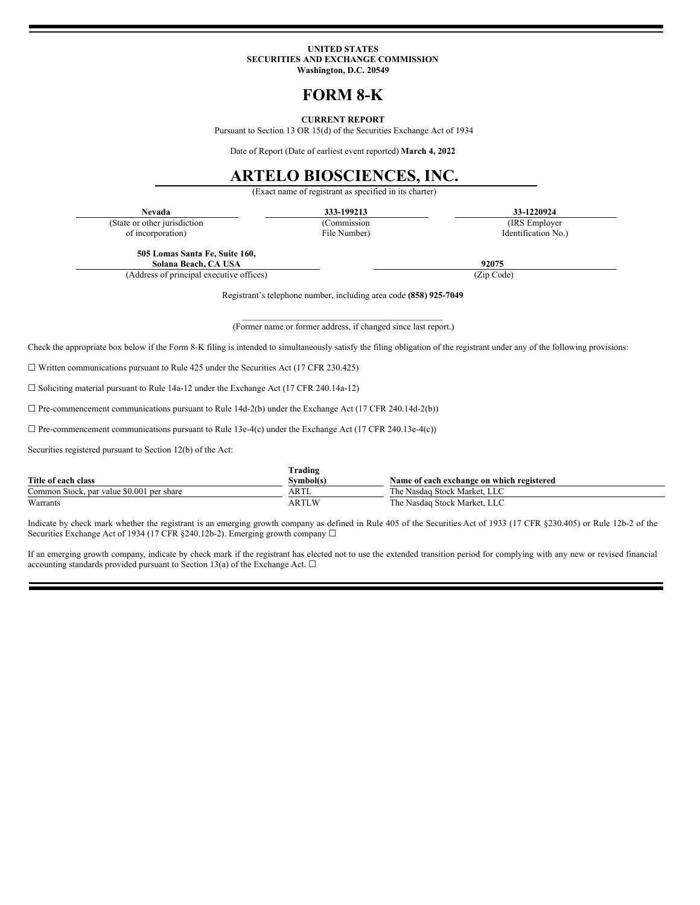#### **UNITED STATES SECURITIES AND EXCHANGE COMMISSION Washington, D.C. 20549**

# **FORM 8-K**

#### **CURRENT REPORT**

Pursuant to Section 13 OR 15(d) of the Securities Exchange Act of 1934

Date of Report (Date of earliest event reported) **March 4, 2022**

## **ARTELO BIOSCIENCES, INC.**

(Exact name of registrant as specified in its charter)

(State or other jurisdiction

of incorporation)

(Commission File Number)

**Nevada 333-199213 33-1220924** (IRS Employer

Identification No.)

**505 Lomas Santa Fe, Suite 160,**

**Solana Beach, CA USA 92075** (Address of principal executive offices) (Zip Code)

Registrant's telephone number, including area code **(858) 925-7049**

 $\mathcal{L}_\text{max}$  and the contract of the contract of the contract of the contract of the contract of the contract of the contract of the contract of the contract of the contract of the contract of the contract of the contrac (Former name or former address, if changed since last report.)

Check the appropriate box below if the Form 8-K filing is intended to simultaneously satisfy the filing obligation of the registrant under any of the following provisions:

 $\Box$  Written communications pursuant to Rule 425 under the Securities Act (17 CFR 230.425)

☐ Soliciting material pursuant to Rule 14a-12 under the Exchange Act (17 CFR 240.14a-12)

☐ Pre-commencement communications pursuant to Rule 14d-2(b) under the Exchange Act (17 CFR 240.14d-2(b))

 $\Box$  Pre-commencement communications pursuant to Rule 13e-4(c) under the Exchange Act (17 CFR 240.13e-4(c))

Securities registered pursuant to Section 12(b) of the Act:

|                                           | Trading   |                                           |
|-------------------------------------------|-----------|-------------------------------------------|
| Title of each class                       | Symbol(s) | Name of each exchange on which registered |
| Common Stock, par value \$0.001 per share | ARTL      | The Nasdaq Stock Market, LLC              |
| Warrants                                  | ARTLW     | The Nasdaq Stock Market, LLC              |

Indicate by check mark whether the registrant is an emerging growth company as defined in Rule 405 of the Securities Act of 1933 (17 CFR §230.405) or Rule 12b-2 of the Securities Exchange Act of 1934 (17 CFR §240.12b-2). Emerging growth company □

If an emerging growth company, indicate by check mark if the registrant has elected not to use the extended transition period for complying with any new or revised financial accounting standards provided pursuant to Section 13(a) of the Exchange Act.  $\square$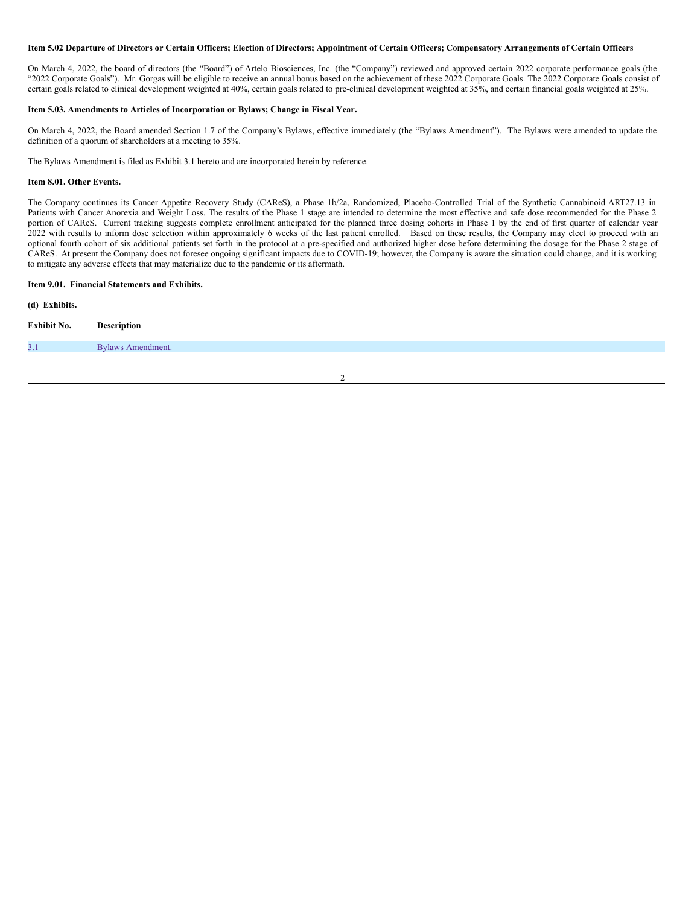#### Item 5.02 Departure of Directors or Certain Officers; Election of Directors; Appointment of Certain Officers; Compensatory Arrangements of Certain Officers

On March 4, 2022, the board of directors (the "Board") of Artelo Biosciences, Inc. (the "Company") reviewed and approved certain 2022 corporate performance goals (the "2022 Corporate Goals"). Mr. Gorgas will be eligible to receive an annual bonus based on the achievement of these 2022 Corporate Goals. The 2022 Corporate Goals consist of certain goals related to clinical development weighted at 40%, certain goals related to pre-clinical development weighted at 35%, and certain financial goals weighted at 25%.

#### **Item 5.03. Amendments to Articles of Incorporation or Bylaws; Change in Fiscal Year.**

On March 4, 2022, the Board amended Section 1.7 of the Company's Bylaws, effective immediately (the "Bylaws Amendment"). The Bylaws were amended to update the definition of a quorum of shareholders at a meeting to 35%.

The Bylaws Amendment is filed as Exhibit 3.1 hereto and are incorporated herein by reference.

#### **Item 8.01. Other Events.**

The Company continues its Cancer Appetite Recovery Study (CAReS), a Phase 1b/2a, Randomized, Placebo-Controlled Trial of the Synthetic Cannabinoid ART27.13 in Patients with Cancer Anorexia and Weight Loss. The results of the Phase 1 stage are intended to determine the most effective and safe dose recommended for the Phase 2 portion of CAReS. Current tracking suggests complete enrollment anticipated for the planned three dosing cohorts in Phase 1 by the end of first quarter of calendar year 2022 with results to inform dose selection within approximately 6 weeks of the last patient enrolled. Based on these results, the Company may elect to proceed with an optional fourth cohort of six additional patients set forth in the protocol at a pre-specified and authorized higher dose before determining the dosage for the Phase 2 stage of CAReS. At present the Company does not foresee ongoing significant impacts due to COVID-19; however, the Company is aware the situation could change, and it is working to mitigate any adverse effects that may materialize due to the pandemic or its aftermath.

### **Item 9.01. Financial Statements and Exhibits.**

#### **(d) Exhibits.**

| Exhibit No. | <b>Description</b> |
|-------------|--------------------|
|             |                    |
| <u>3.1</u>  | Bylaws Amendment.  |
|             |                    |

2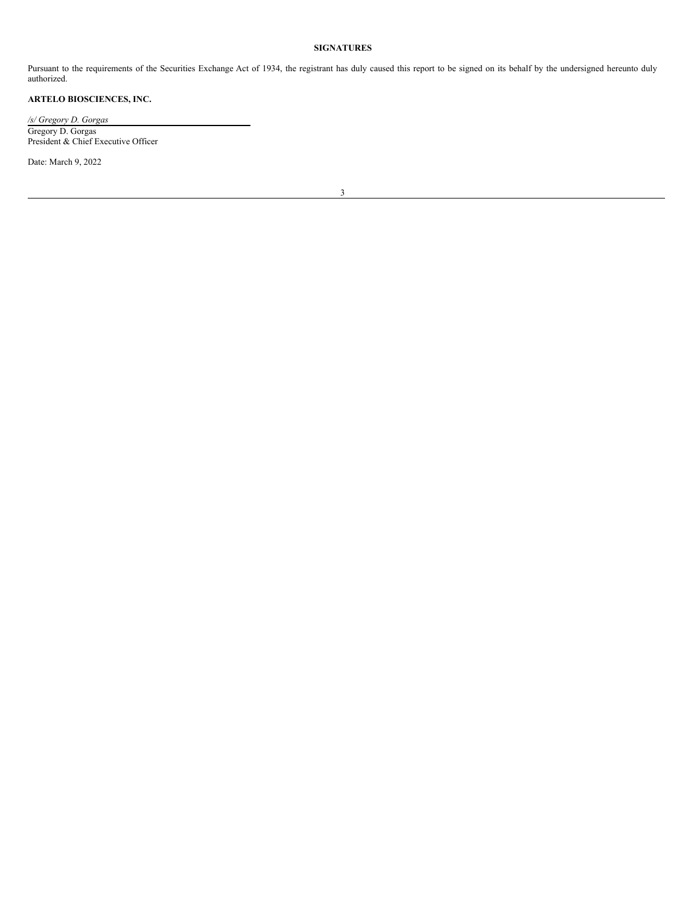## **SIGNATURES**

Pursuant to the requirements of the Securities Exchange Act of 1934, the registrant has duly caused this report to be signed on its behalf by the undersigned hereunto duly authorized.

## **ARTELO BIOSCIENCES, INC.**

*/s/ Gregory D. Gorgas* Gregory D. Gorgas President & Chief Executive Officer

Date: March 9, 2022